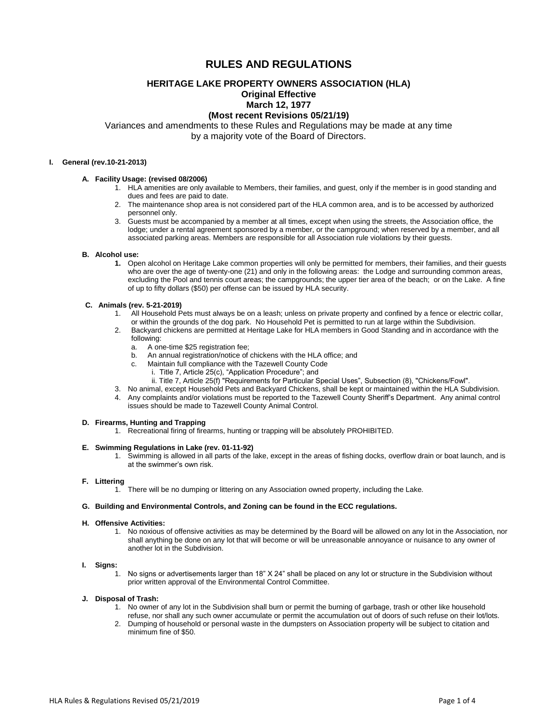# **RULES AND REGULATIONS**

# **HERITAGE LAKE PROPERTY OWNERS ASSOCIATION (HLA)**

# **Original Effective**

# **March 12, 1977**

# **(Most recent Revisions 05/21/19)**

Variances and amendments to these Rules and Regulations may be made at any time by a majority vote of the Board of Directors.

# **I. General (rev.10-21-2013)**

# **A. Facility Usage: (revised 08/2006)**

- 1. HLA amenities are only available to Members, their families, and guest, only if the member is in good standing and dues and fees are paid to date.
- 2. The maintenance shop area is not considered part of the HLA common area, and is to be accessed by authorized personnel only.
- 3. Guests must be accompanied by a member at all times, except when using the streets, the Association office, the lodge; under a rental agreement sponsored by a member, or the campground; when reserved by a member, and all associated parking areas. Members are responsible for all Association rule violations by their guests.

#### **B. Alcohol use:**

**1.** Open alcohol on Heritage Lake common properties will only be permitted for members, their families, and their guests who are over the age of twenty-one (21) and only in the following areas: the Lodge and surrounding common areas, excluding the Pool and tennis court areas; the campgrounds; the upper tier area of the beach; or on the Lake. A fine of up to fifty dollars (\$50) per offense can be issued by HLA security.

# **C. Animals (rev. 5-21-2019)**

- 1. All Household Pets must always be on a leash; unless on private property and confined by a fence or electric collar, or within the grounds of the dog park. No Household Pet is permitted to run at large within the Subdivision.
- 2. Backyard chickens are permitted at Heritage Lake for HLA members in Good Standing and in accordance with the following:
	- a. A one-time \$25 registration fee;
	- b. An annual registration/notice of chickens with the HLA office; and
	- c. Maintain full compliance with the Tazewell County Code
		- i. Title 7, Article 25(c), "Application Procedure"; and
		- ii. Title 7, Article 25(f) "Requirements for Particular Special Uses", Subsection (8), "Chickens/Fowl".
- 3. No animal, except Household Pets and Backyard Chickens, shall be kept or maintained within the HLA Subdivision.
- 4. Any complaints and/or violations must be reported to the Tazewell County Sheriff's Department. Any animal control issues should be made to Tazewell County Animal Control.

#### **D. Firearms, Hunting and Trapping**

1. Recreational firing of firearms, hunting or trapping will be absolutely PROHIBITED.

#### **E. Swimming Regulations in Lake (rev. 01-11-92)**

1. Swimming is allowed in all parts of the lake, except in the areas of fishing docks, overflow drain or boat launch, and is at the swimmer's own risk.

# **F. Littering**

1. There will be no dumping or littering on any Association owned property, including the Lake.

# **G. Building and Environmental Controls, and Zoning can be found in the ECC regulations.**

#### **H. Offensive Activities:**

1. No noxious of offensive activities as may be determined by the Board will be allowed on any lot in the Association, nor shall anything be done on any lot that will become or will be unreasonable annoyance or nuisance to any owner of another lot in the Subdivision.

# **I. Signs:**

1. No signs or advertisements larger than 18" X 24" shall be placed on any lot or structure in the Subdivision without prior written approval of the Environmental Control Committee.

# **J. Disposal of Trash:**

- 1. No owner of any lot in the Subdivision shall burn or permit the burning of garbage, trash or other like household refuse, nor shall any such owner accumulate or permit the accumulation out of doors of such refuse on their lot/lots.
- 2. Dumping of household or personal waste in the dumpsters on Association property will be subject to citation and minimum fine of \$50.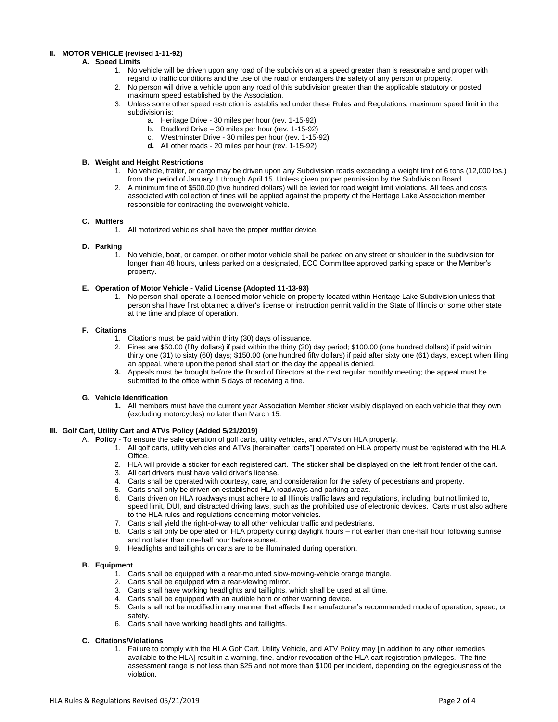# **II. MOTOR VEHICLE (revised 1-11-92)**

# **A. Speed Limits**

- 1. No vehicle will be driven upon any road of the subdivision at a speed greater than is reasonable and proper with regard to traffic conditions and the use of the road or endangers the safety of any person or property.
- 2. No person will drive a vehicle upon any road of this subdivision greater than the applicable statutory or posted maximum speed established by the Association.
- 3. Unless some other speed restriction is established under these Rules and Regulations, maximum speed limit in the subdivision is:
	- a. Heritage Drive 30 miles per hour (rev. 1-15-92)
	- b. Bradford Drive 30 miles per hour (rev. 1-15-92)
	- c. Westminster Drive 30 miles per hour (rev. 1-15-92)
	- **d.** All other roads 20 miles per hour (rev. 1-15-92)

# **B. Weight and Height Restrictions**

- 1. No vehicle, trailer, or cargo may be driven upon any Subdivision roads exceeding a weight limit of 6 tons (12,000 lbs.) from the period of January 1 through April 15. Unless given proper permission by the Subdivision Board.
- 2. A minimum fine of \$500.00 (five hundred dollars) will be levied for road weight limit violations. All fees and costs associated with collection of fines will be applied against the property of the Heritage Lake Association member responsible for contracting the overweight vehicle.

#### **C. Mufflers**

1. All motorized vehicles shall have the proper muffler device.

#### **D. Parking**

1. No vehicle, boat, or camper, or other motor vehicle shall be parked on any street or shoulder in the subdivision for longer than 48 hours, unless parked on a designated, ECC Committee approved parking space on the Member's property.

#### **E. Operation of Motor Vehicle - Valid License (Adopted 11-13-93)**

1. No person shall operate a licensed motor vehicle on property located within Heritage Lake Subdivision unless that person shall have first obtained a driver's license or instruction permit valid in the State of Illinois or some other state at the time and place of operation.

#### **F. Citations**

- 1. Citations must be paid within thirty (30) days of issuance.
- 2. Fines are \$50.00 (fifty dollars) if paid within the thirty (30) day period; \$100.00 (one hundred dollars) if paid within thirty one (31) to sixty (60) days; \$150.00 (one hundred fifty dollars) if paid after sixty one (61) days, except when filing an appeal, where upon the period shall start on the day the appeal is denied.
- **3.** Appeals must be brought before the Board of Directors at the next regular monthly meeting; the appeal must be submitted to the office within 5 days of receiving a fine.

# **G. Vehicle Identification**

**1.** All members must have the current year Association Member sticker visibly displayed on each vehicle that they own (excluding motorcycles) no later than March 15.

# **III. Golf Cart, Utility Cart and ATVs Policy (Added 5/21/2019)**

- A. **Policy** To ensure the safe operation of golf carts, utility vehicles, and ATVs on HLA property.
	- 1. All golf carts, utility vehicles and ATVs [hereinafter "carts"] operated on HLA property must be registered with the HLA Office.
	- 2. HLA will provide a sticker for each registered cart. The sticker shall be displayed on the left front fender of the cart.
	- 3. All cart drivers must have valid driver's license.
	- 4. Carts shall be operated with courtesy, care, and consideration for the safety of pedestrians and property.
	- 5. Carts shall only be driven on established HLA roadways and parking areas.
	- 6. Carts driven on HLA roadways must adhere to all Illinois traffic laws and regulations, including, but not limited to, speed limit, DUI, and distracted driving laws, such as the prohibited use of electronic devices. Carts must also adhere to the HLA rules and regulations concerning motor vehicles.
	- 7. Carts shall yield the right-of-way to all other vehicular traffic and pedestrians.
	- 8. Carts shall only be operated on HLA property during daylight hours not earlier than one-half hour following sunrise and not later than one-half hour before sunset.
	- 9. Headlights and taillights on carts are to be illuminated during operation.

#### **B. Equipment**

- 1. Carts shall be equipped with a rear-mounted slow-moving-vehicle orange triangle.
- Carts shall be equipped with a rear-viewing mirror.
- 3. Carts shall have working headlights and taillights, which shall be used at all time.
- 4. Carts shall be equipped with an audible horn or other warning device.
- 5. Carts shall not be modified in any manner that affects the manufacturer's recommended mode of operation, speed, or safety.
- 6. Carts shall have working headlights and taillights.

#### **C. Citations/Violations**

1. Failure to comply with the HLA Golf Cart, Utility Vehicle, and ATV Policy may [in addition to any other remedies available to the HLA] result in a warning, fine, and/or revocation of the HLA cart registration privileges. The fine assessment range is not less than \$25 and not more than \$100 per incident, depending on the egregiousness of the violation.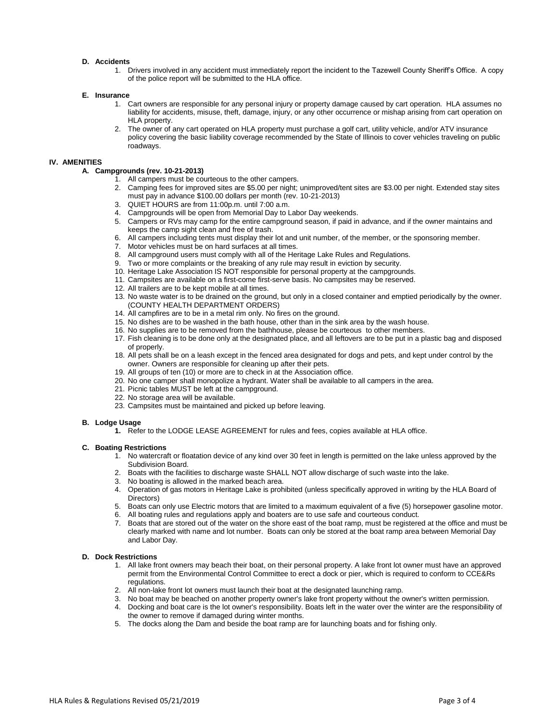#### **D. Accidents**

1. Drivers involved in any accident must immediately report the incident to the Tazewell County Sheriff's Office. A copy of the police report will be submitted to the HLA office.

#### **E. Insurance**

- 1. Cart owners are responsible for any personal injury or property damage caused by cart operation. HLA assumes no liability for accidents, misuse, theft, damage, injury, or any other occurrence or mishap arising from cart operation on HLA property.
- 2. The owner of any cart operated on HLA property must purchase a golf cart, utility vehicle, and/or ATV insurance policy covering the basic liability coverage recommended by the State of Illinois to cover vehicles traveling on public roadways.

#### **IV. AMENITIES**

# **A. Campgrounds (rev. 10-21-2013)**

- 1. All campers must be courteous to the other campers.
- 2. Camping fees for improved sites are \$5.00 per night; unimproved/tent sites are \$3.00 per night. Extended stay sites must pay in advance \$100.00 dollars per month (rev. 10-21-2013)
- 3. QUIET HOURS are from 11:00p.m. until 7:00 a.m.
- 4. Campgrounds will be open from Memorial Day to Labor Day weekends.
- 5. Campers or RVs may camp for the entire campground season, if paid in advance, and if the owner maintains and keeps the camp sight clean and free of trash.
- 6. All campers including tents must display their lot and unit number, of the member, or the sponsoring member.
- 7. Motor vehicles must be on hard surfaces at all times.
- 8. All campground users must comply with all of the Heritage Lake Rules and Regulations.
- 9. Two or more complaints or the breaking of any rule may result in eviction by security.
- 10. Heritage Lake Association IS NOT responsible for personal property at the campgrounds.
- 11. Campsites are available on a first-come first-serve basis. No campsites may be reserved.
- 12. All trailers are to be kept mobile at all times.
- 13. No waste water is to be drained on the ground, but only in a closed container and emptied periodically by the owner. (COUNTY HEALTH DEPARTMENT ORDERS)
- 14. All campfires are to be in a metal rim only. No fires on the ground.
- 15. No dishes are to be washed in the bath house, other than in the sink area by the wash house.
- 16. No supplies are to be removed from the bathhouse, please be courteous to other members.
- 17. Fish cleaning is to be done only at the designated place, and all leftovers are to be put in a plastic bag and disposed of properly.
- 18. All pets shall be on a leash except in the fenced area designated for dogs and pets, and kept under control by the owner. Owners are responsible for cleaning up after their pets.
- 19. All groups of ten (10) or more are to check in at the Association office.
- 20. No one camper shall monopolize a hydrant. Water shall be available to all campers in the area.
- 21. Picnic tables MUST be left at the campground.
- 22. No storage area will be available.
- 23. Campsites must be maintained and picked up before leaving.

#### **B. Lodge Usage**

**1.** Refer to the LODGE LEASE AGREEMENT for rules and fees, copies available at HLA office.

# **C. Boating Restrictions**

- 1. No watercraft or floatation device of any kind over 30 feet in length is permitted on the lake unless approved by the Subdivision Board.
- 2. Boats with the facilities to discharge waste SHALL NOT allow discharge of such waste into the lake.
- 3. No boating is allowed in the marked beach area.
- 4. Operation of gas motors in Heritage Lake is prohibited (unless specifically approved in writing by the HLA Board of Directors)
- 5. Boats can only use Electric motors that are limited to a maximum equivalent of a five (5) horsepower gasoline motor. 6. All boating rules and regulations apply and boaters are to use safe and courteous conduct.
- 7. Boats that are stored out of the water on the shore east of the boat ramp, must be registered at the office and must be clearly marked with name and lot number. Boats can only be stored at the boat ramp area between Memorial Day and Labor Day.

# **D. Dock Restrictions**

- 1. All lake front owners may beach their boat, on their personal property. A lake front lot owner must have an approved permit from the Environmental Control Committee to erect a dock or pier, which is required to conform to CCE&Rs regulations.
- 2. All non-lake front lot owners must launch their boat at the designated launching ramp.
- 3. No boat may be beached on another property owner's lake front property without the owner's written permission.
- 4. Docking and boat care is the lot owner's responsibility. Boats left in the water over the winter are the responsibility of the owner to remove if damaged during winter months.
- 5. The docks along the Dam and beside the boat ramp are for launching boats and for fishing only.